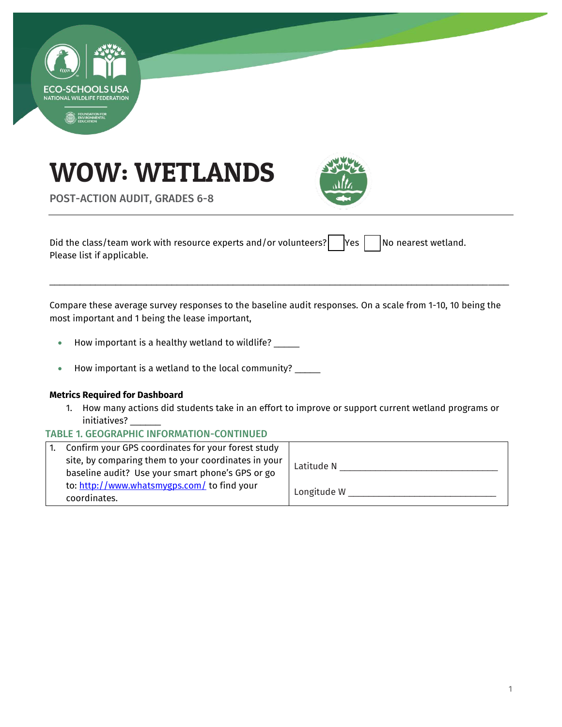





POST-ACTION AUDIT, GRADES 6-8

Did the class/team work with resource experts and/or volunteers?  $\vert$  Yes  $\vert$  No nearest wetland. Please list if applicable.

Compare these average survey responses to the baseline audit responses. On a scale from 1-10, 10 being the most important and 1 being the lease important,

\_\_\_\_\_\_\_\_\_\_\_\_\_\_\_\_\_\_\_\_\_\_\_\_\_\_\_\_\_\_\_\_\_\_\_\_\_\_\_\_\_\_\_\_\_\_\_\_\_\_\_\_\_\_\_\_\_\_\_\_\_\_\_\_\_\_\_\_\_\_\_\_\_\_\_\_\_\_\_\_\_\_\_\_\_\_\_\_\_\_

- How important is a healthy wetland to wildlife? \_\_\_\_\_
- How important is a wetland to the local community? \_\_\_\_\_

### **Metrics Required for Dashboard**

- 1. How many actions did students take in an effort to improve or support current wetland programs or initiatives? \_\_\_\_\_\_
- TABLE 1. GEOGRAPHIC INFORMATION-CONTINUED

| Confirm your GPS coordinates for your forest study          |             |
|-------------------------------------------------------------|-------------|
| site, by comparing them to your coordinates in your         | Latitude N  |
| baseline audit? Use your smart phone's GPS or go            |             |
| to: http://www.whatsmygps.com/ to find your<br>coordinates. | Longitude W |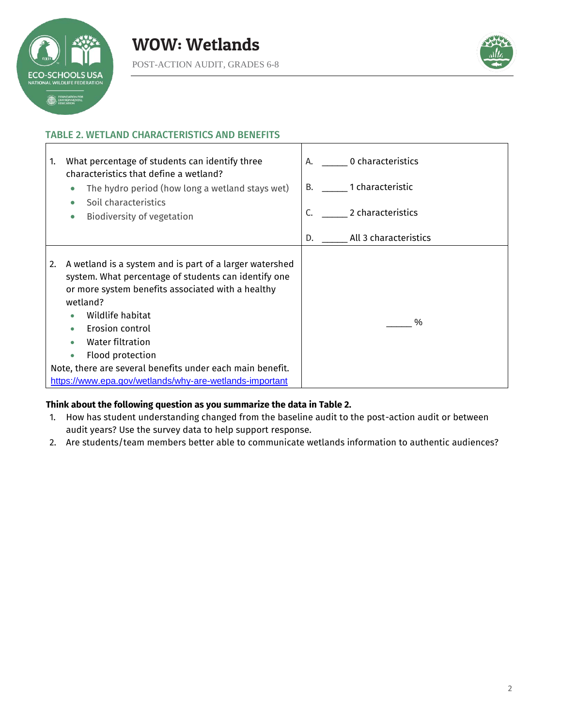



# TABLE 2. WETLAND CHARACTERISTICS AND BENEFITS



### **Think about the following question as you summarize the data in Table 2.**

- 1. How has student understanding changed from the baseline audit to the post-action audit or between audit years? Use the survey data to help support response.
- 2. Are students/team members better able to communicate wetlands information to authentic audiences?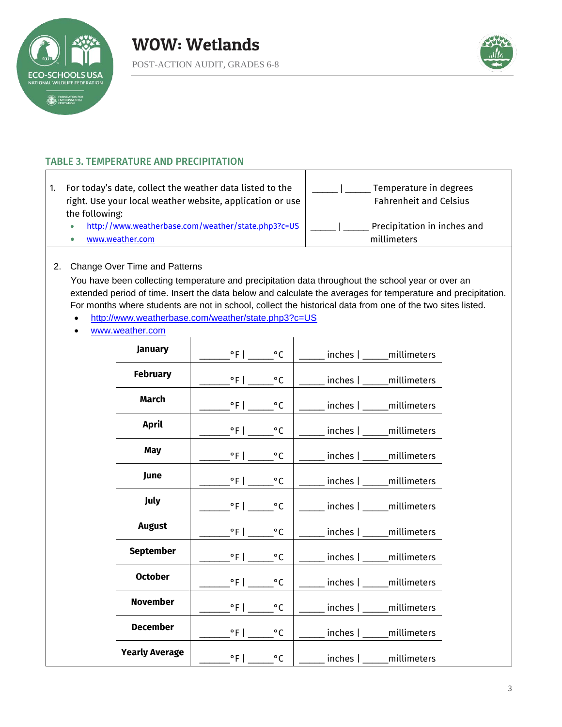





# TABLE 3. TEMPERATURE AND PRECIPITATION

| For today's date, collect the weather data listed to the<br>right. Use your local weather website, application or use | Temperature in degrees<br><b>Fahrenheit and Celsius</b> |
|-----------------------------------------------------------------------------------------------------------------------|---------------------------------------------------------|
| the following:                                                                                                        |                                                         |
| http://www.weatherbase.com/weather/state.php3?c=US                                                                    | Precipitation in inches and                             |
| www.weather.com                                                                                                       | millimeters                                             |

 $\mathbf{I}$ 

#### 2. Change Over Time and Patterns

You have been collecting temperature and precipitation data throughout the school year or over an extended period of time. Insert the data below and calculate the averages for temperature and precipitation. For months where students are not in school, collect the historical data from one of the two sites listed.

- <http://www.weatherbase.com/weather/state.php3?c=US>
- [www.weather.com](http://www.weather.com/)

| <b>January</b>        | $^{\circ}$ F   $^{\circ}$ C                     | nches   _____ millimeters        |
|-----------------------|-------------------------------------------------|----------------------------------|
| <b>February</b>       | _____°F ______°C                                | ____ inches   _____millimeters   |
| <b>March</b>          | $\degree$ F   $\degree$ C                       | ____ inches   _____millimeters   |
| <b>April</b>          | $\mathsf{C}^{\circ}$ F   ______<br>$^{\circ}$ C | ___ inches   ____ millimeters    |
| May                   | $^{\circ}$ F   $^{\circ}$ C                     | _____ inches   _____ millimeters |
| June                  | $^{\circ}$ F   $^{\circ}$ C                     | ___ inches   _____millimeters    |
| <b>July</b>           | $^{\circ}$ F   $^{\circ}$ C                     | __ inches   _____millimeters     |
| <b>August</b>         | $^{\circ}$ C                                    |                                  |
| <b>September</b>      | $\degree$ F   $\_$                              | _inches   _____millimeters       |
| <b>October</b>        | $^{\circ}$ F   $\qquad \qquad$<br>$^{\circ}$ C  | _inches   _____millimeters       |
|                       | $^{\circ}$ F   $^{\circ}$ C                     | inches   _____ millimeters       |
| <b>November</b>       | $\degree$ F   $\degree$ C                       | __ inches   _____millimeters     |
| <b>December</b>       | $\degree$ F   ______ $\degree$ C                | _____ inches   _____ millimeters |
| <b>Yearly Average</b> | $^{\circ}$ F   $\qquad \qquad$<br>$^{\circ}$ C  | inches   _____ millimeters       |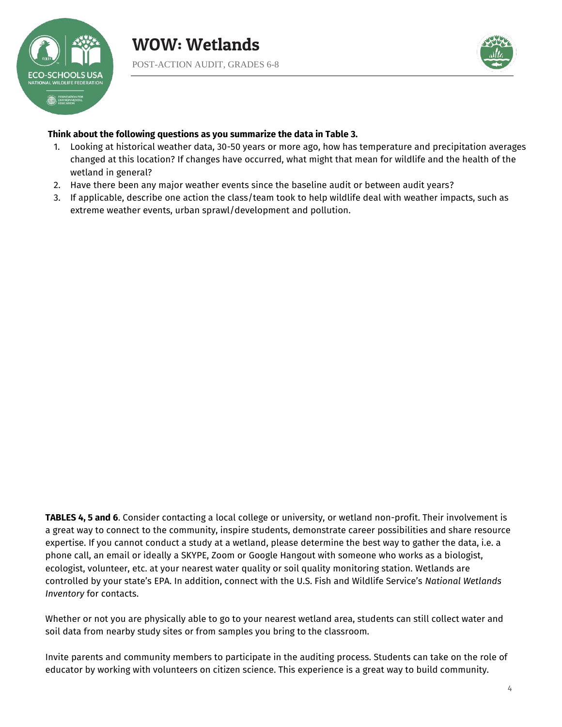



### **Think about the following questions as you summarize the data in Table 3.**

- 1. Looking at historical weather data, 30-50 years or more ago, how has temperature and precipitation averages changed at this location? If changes have occurred, what might that mean for wildlife and the health of the wetland in general?
- 2. Have there been any major weather events since the baseline audit or between audit years?
- 3. If applicable, describe one action the class/team took to help wildlife deal with weather impacts, such as extreme weather events, urban sprawl/development and pollution.

**TABLES 4, 5 and 6**. Consider contacting a local college or university, or wetland non-profit. Their involvement is a great way to connect to the community, inspire students, demonstrate career possibilities and share resource expertise. If you cannot conduct a study at a wetland, please determine the best way to gather the data, i.e. a phone call, an email or ideally a SKYPE, Zoom or Google Hangout with someone who works as a biologist, ecologist, volunteer, etc. at your nearest water quality or soil quality monitoring station. Wetlands are controlled by your state's EPA. In addition, connect with the U.S. Fish and Wildlife Service's *National Wetlands Inventory* for contacts.

Whether or not you are physically able to go to your nearest wetland area, students can still collect water and soil data from nearby study sites or from samples you bring to the classroom.

Invite parents and community members to participate in the auditing process. Students can take on the role of educator by working with volunteers on citizen science. This experience is a great way to build community.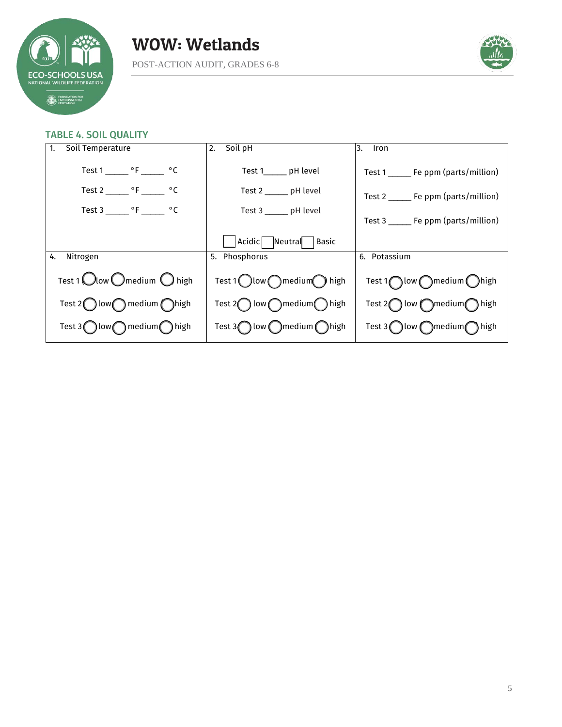





#### TABLE 4. SOIL QUALITY

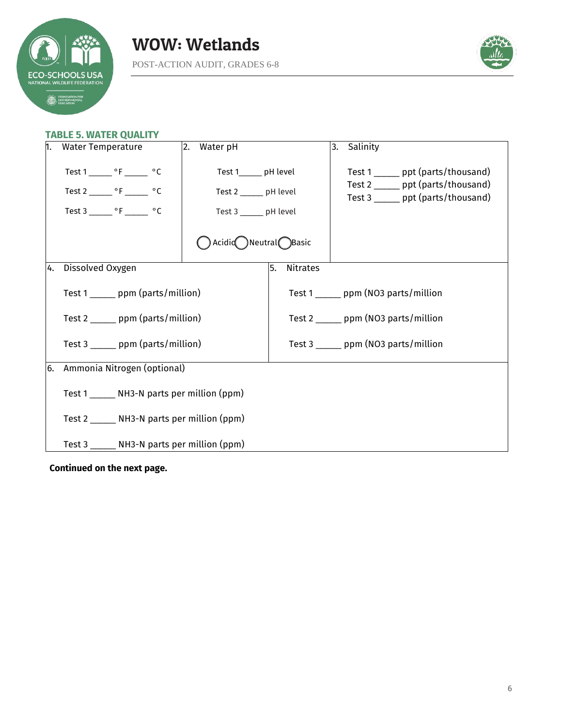



# **TABLE 5. WATER QUALITY**

| n.  | <b>Water Temperature</b>                                                                                                                    | 2.<br>Water pH                                                                                                      |                       | 3. | Salinity                                                                                                       |
|-----|---------------------------------------------------------------------------------------------------------------------------------------------|---------------------------------------------------------------------------------------------------------------------|-----------------------|----|----------------------------------------------------------------------------------------------------------------|
|     | Test 1 ________ $\circ$ F ________ $\circ$ C<br>Test 2 ________ $\circ$ F _______ $\circ$ C<br>Test 3 ________ $\circ$ F ________ $\circ$ C | Test 1______ pH level<br>Test 2 ______ pH level<br>Test 3 ______ pH level<br>$\big)$ Acidic Neutral $\bigcap$ Basic |                       |    | Test 1 ______ ppt (parts/thousand)<br>Test 2 ______ ppt (parts/thousand)<br>Test 3 ______ ppt (parts/thousand) |
|     |                                                                                                                                             |                                                                                                                     |                       |    |                                                                                                                |
| 14. | Dissolved Oxygen                                                                                                                            |                                                                                                                     | 5.<br><b>Nitrates</b> |    |                                                                                                                |
|     | Test 1 ______ ppm (parts/million)                                                                                                           |                                                                                                                     |                       |    | Test 1 _______ ppm (NO3 parts/million                                                                          |
|     | Test 2 _______ ppm (parts/million)                                                                                                          |                                                                                                                     |                       |    | Test 2 _______ ppm (NO3 parts/million                                                                          |
|     | Test 3 ______ ppm (parts/million)                                                                                                           |                                                                                                                     |                       |    | Test $3 \_\_\_$ ppm (NO3 parts/million                                                                         |
| 6.  | Ammonia Nitrogen (optional)                                                                                                                 |                                                                                                                     |                       |    |                                                                                                                |
|     | Test 1 _______ NH3-N parts per million (ppm)                                                                                                |                                                                                                                     |                       |    |                                                                                                                |
|     | Test $2 \_\_\_\_\$ NH3-N parts per million (ppm)                                                                                            |                                                                                                                     |                       |    |                                                                                                                |
|     | Test 3 _______ NH3-N parts per million (ppm)                                                                                                |                                                                                                                     |                       |    |                                                                                                                |

**Continued on the next page.**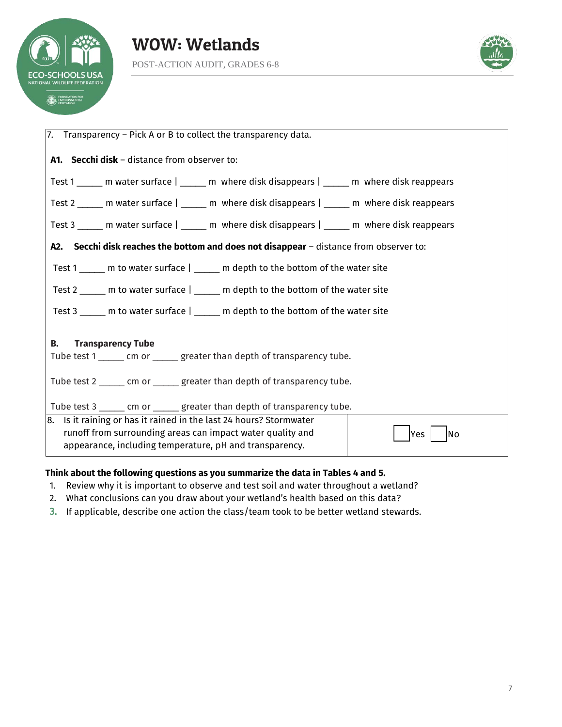





| $ 7.$ Transparency – Pick A or B to collect the transparency data.                                                               |  |  |
|----------------------------------------------------------------------------------------------------------------------------------|--|--|
| A1. Secchi disk - distance from observer to:                                                                                     |  |  |
| Test 1 ______ m water surface   ______ m where disk disappears   ______ m where disk reappears                                   |  |  |
| Test 2 ______ m water surface   _____ m where disk disappears   ______ m where disk reappears                                    |  |  |
| Test 3 _____ m water surface   _____ m where disk disappears   _____ m where disk reappears                                      |  |  |
| A2. Secchi disk reaches the bottom and does not disappear - distance from observer to:                                           |  |  |
| Test 1 _____ m to water surface   _____ m depth to the bottom of the water site                                                  |  |  |
| Test 2 _____ m to water surface   _____ m depth to the bottom of the water site                                                  |  |  |
| Test 3 _____ m to water surface   _____ m depth to the bottom of the water site                                                  |  |  |
| <b>Transparency Tube</b><br>В.                                                                                                   |  |  |
| Tube test 1 ______ cm or ______ greater than depth of transparency tube.                                                         |  |  |
| Tube test 2 ______ cm or ______ greater than depth of transparency tube.                                                         |  |  |
| Tube test 3 ______ cm or ______ greater than depth of transparency tube.                                                         |  |  |
| 8. Is it raining or has it rained in the last 24 hours? Stormwater<br>runoff from surrounding areas can impact water quality and |  |  |
| Yes<br> No<br>appearance, including temperature, pH and transparency.                                                            |  |  |

# **Think about the following questions as you summarize the data in Tables 4 and 5.**

- 1. Review why it is important to observe and test soil and water throughout a wetland?
- 2. What conclusions can you draw about your wetland's health based on this data?
- 3. If applicable, describe one action the class/team took to be better wetland stewards.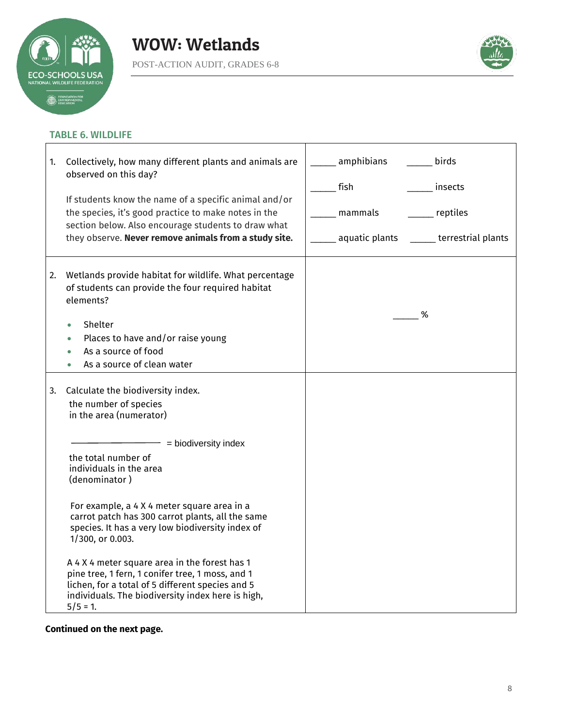

r



# TABLE 6. WILDLIFE

| 1. | Collectively, how many different plants and animals are<br>observed on this day?<br>If students know the name of a specific animal and/or<br>the species, it's good practice to make notes in the<br>section below. Also encourage students to draw what<br>they observe. Never remove animals from a study site.                                                                                                                                                                                                                                                                        | amphibians<br>birds<br>fish<br>insects<br>mammals<br>reptiles<br>_____ terrestrial plants<br>aquatic plants |
|----|------------------------------------------------------------------------------------------------------------------------------------------------------------------------------------------------------------------------------------------------------------------------------------------------------------------------------------------------------------------------------------------------------------------------------------------------------------------------------------------------------------------------------------------------------------------------------------------|-------------------------------------------------------------------------------------------------------------|
| 2. | Wetlands provide habitat for wildlife. What percentage<br>of students can provide the four required habitat<br>elements?<br>Shelter<br>Places to have and/or raise young<br>As a source of food<br>As a source of clean water                                                                                                                                                                                                                                                                                                                                                            | %                                                                                                           |
| 3. | Calculate the biodiversity index.<br>the number of species<br>in the area (numerator)<br>= biodiversity index<br>the total number of<br>individuals in the area<br>(denominator)<br>For example, a 4 X 4 meter square area in a<br>carrot patch has 300 carrot plants, all the same<br>species. It has a very low biodiversity index of<br>1/300, or 0.003.<br>A 4 X 4 meter square area in the forest has 1<br>pine tree, 1 fern, 1 conifer tree, 1 moss, and 1<br>lichen, for a total of 5 different species and 5<br>individuals. The biodiversity index here is high,<br>$5/5 = 1$ . |                                                                                                             |

**Continued on the next page.**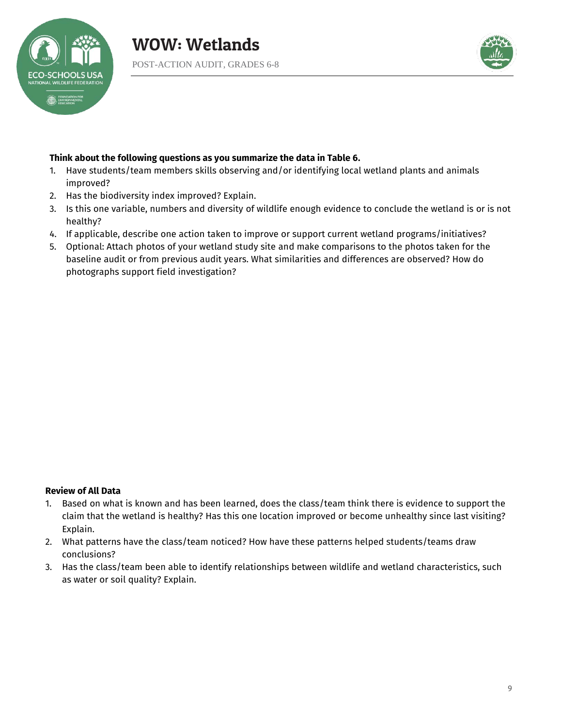



# **Think about the following questions as you summarize the data in Table 6.**

- 1. Have students/team members skills observing and/or identifying local wetland plants and animals improved?
- 2. Has the biodiversity index improved? Explain.
- 3. Is this one variable, numbers and diversity of wildlife enough evidence to conclude the wetland is or is not healthy?
- 4. If applicable, describe one action taken to improve or support current wetland programs/initiatives?
- 5. Optional: Attach photos of your wetland study site and make comparisons to the photos taken for the baseline audit or from previous audit years. What similarities and differences are observed? How do photographs support field investigation?

### **Review of All Data**

- 1. Based on what is known and has been learned, does the class/team think there is evidence to support the claim that the wetland is healthy? Has this one location improved or become unhealthy since last visiting? Explain.
- 2. What patterns have the class/team noticed? How have these patterns helped students/teams draw conclusions?
- 3. Has the class/team been able to identify relationships between wildlife and wetland characteristics, such as water or soil quality? Explain.